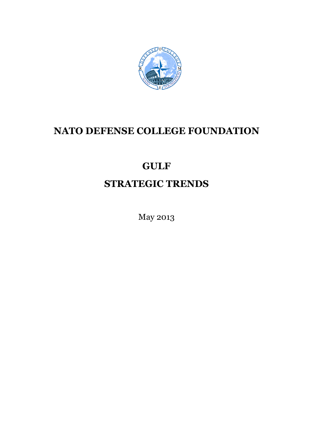

# **NATO DEFENSE COLLEGE FOUNDATION**

# **GULF**

# **STRATEGIC TRENDS**

May 2013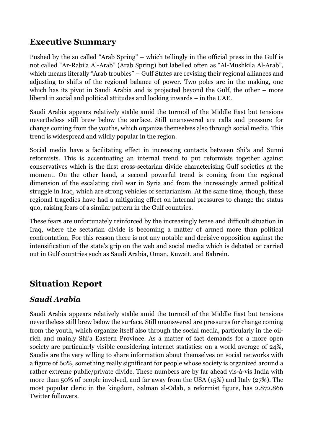### **Executive Summary**

Pushed by the so called "Arab Spring" – which tellingly in the official press in the Gulf is not called "Ar-Rabi'a Al-Arab" (Arab Spring) but labelled often as "Al-Mushkila Al-Arab", which means literally "Arab troubles" – Gulf States are revising their regional alliances and adjusting to shifts of the regional balance of power. Two poles are in the making, one which has its pivot in Saudi Arabia and is projected beyond the Gulf, the other – more liberal in social and political attitudes and looking inwards – in the UAE.

Saudi Arabia appears relatively stable amid the turmoil of the Middle East but tensions nevertheless still brew below the surface. Still unanswered are calls and pressure for change coming from the youths, which organize themselves also through social media. This trend is widespread and wildly popular in the region.

Social media have a facilitating effect in increasing contacts between Shi'a and Sunni reformists. This is accentuating an internal trend to put reformists together against conservatives which is the first cross-sectarian divide characterising Gulf societies at the moment. On the other hand, a second powerful trend is coming from the regional dimension of the escalating civil war in Syria and from the increasingly armed political struggle in Iraq, which are strong vehicles of sectarianism. At the same time, though, these regional tragedies have had a mitigating effect on internal pressures to change the status quo, raising fears of a similar pattern in the Gulf countries.

These fears are unfortunately reinforced by the increasingly tense and difficult situation in Iraq, where the sectarian divide is becoming a matter of armed more than political confrontation. For this reason there is not any notable and decisive opposition against the intensification of the state's grip on the web and social media which is debated or carried out in Gulf countries such as Saudi Arabia, Oman, Kuwait, and Bahrein.

### **Situation Report**

#### *Saudi Arabia*

Saudi Arabia appears relatively stable amid the turmoil of the Middle East but tensions nevertheless still brew below the surface. Still unanswered are pressures for change coming from the youth, which organize itself also through the social media, particularly in the oilrich and mainly Shi'a Eastern Province. As a matter of fact demands for a more open society are particularly visible considering internet statistics: on a world average of 24%, Saudis are the very willing to share information about themselves on social networks with a figure of 60%, something really significant for people whose society is organized around a rather extreme public/private divide. These numbers are by far ahead vis-à-vis India with more than 50% of people involved, and far away from the USA (15%) and Italy (27%). The most popular cleric in the kingdom, Salman al-Odah, a reformist figure, has 2.872.866 Twitter followers.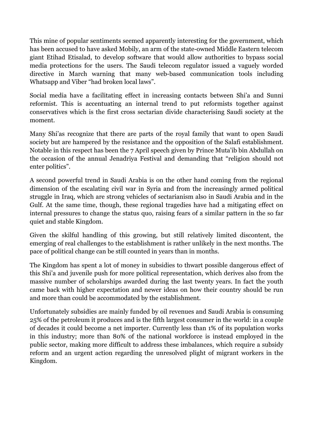This mine of popular sentiments seemed apparently interesting for the government, which has been accused to have asked Mobily, an arm of the state-owned Middle Eastern telecom giant Etihad Etisalad, to develop software that would allow authorities to bypass social media protections for the users. The Saudi telecom regulator issued a vaguely worded directive in March warning that many web-based communication tools including Whatsapp and Viber "had broken local laws".

Social media have a facilitating effect in increasing contacts between Shi'a and Sunni reformist. This is accentuating an internal trend to put reformists together against conservatives which is the first cross sectarian divide characterising Saudi society at the moment.

Many Shi'as recognize that there are parts of the royal family that want to open Saudi society but are hampered by the resistance and the opposition of the Salafi establishment. Notable in this respect has been the 7 April speech given by Prince Muta'ib bin Abdullah on the occasion of the annual Jenadriya Festival and demanding that "religion should not enter politics".

A second powerful trend in Saudi Arabia is on the other hand coming from the regional dimension of the escalating civil war in Syria and from the increasingly armed political struggle in Iraq, which are strong vehicles of sectarianism also in Saudi Arabia and in the Gulf. At the same time, though, these regional tragedies have had a mitigating effect on internal pressures to change the status quo, raising fears of a similar pattern in the so far quiet and stable Kingdom.

Given the skilful handling of this growing, but still relatively limited discontent, the emerging of real challenges to the establishment is rather unlikely in the next months. The pace of political change can be still counted in years than in months.

The Kingdom has spent a lot of money in subsidies to thwart possible dangerous effect of this Shi'a and juvenile push for more political representation, which derives also from the massive number of scholarships awarded during the last twenty years. In fact the youth came back with higher expectation and newer ideas on how their country should be run and more than could be accommodated by the establishment.

Unfortunately subsidies are mainly funded by oil revenues and Saudi Arabia is consuming 25% of the petroleum it produces and is the fifth largest consumer in the world: in a couple of decades it could become a net importer. Currently less than 1% of its population works in this industry; more than 80% of the national workforce is instead employed in the public sector, making more difficult to address these imbalances, which require a subsidy reform and an urgent action regarding the unresolved plight of migrant workers in the Kingdom.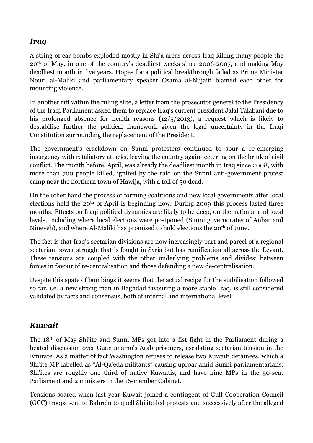#### *Iraq*

A string of car bombs exploded mostly in Shi'a areas across Iraq killing many people the 20th of May, in one of the country's deadliest weeks since 2006-2007, and making May deadliest month in five years. Hopes for a political breakthrough faded as Prime Minister Nouri al-Maliki and parliamentary speaker Osama al-Nujaifi blamed each other for mounting violence.

In another rift within the ruling elite, a letter from the prosecutor general to the Presidency of the Iraqi Parliament asked them to replace Iraq's current president Jalal Talabani due to his prolonged absence for health reasons (12/5/2013), a request which is likely to destabilise further the political framework given the legal uncertainty in the Iraqi Constitution surrounding the replacement of the President.

The government's crackdown on Sunni protesters continued to spur a re-emerging insurgency with retaliatory attacks, leaving the country again teetering on the brink of civil conflict. The month before, April, was already the deadliest month in Iraq since 2008, with more than 700 people killed, ignited by the raid on the Sunni anti-government protest camp near the northern town of Hawija, with a toll of 50 dead.

On the other hand the process of forming coalitions and new local governments after local elections held the 20<sup>th</sup> of April is beginning now. During 2009 this process lasted three months. Effects on Iraqi political dynamics are likely to be deep, on the national and local levels, including where local elections were postponed (Sunni governorates of Anbar and Nineveh), and where Al-Maliki has promised to hold elections the 20th of June.

The fact is that Iraq's sectarian divisions are now increasingly part and parcel of a regional sectarian power struggle that is fought in Syria but has ramification all across the Levant. These tensions are coupled with the other underlying problems and divides: between forces in favour of re-centralisation and those defending a new de-centralisation.

Despite this spate of bombings it seems that the actual recipe for the stabilisation followed so far, i.e. a new strong man in Baghdad favouring a more stable Iraq, is still considered validated by facts and consensus, both at internal and international level.

#### *Kuwait*

The 18th of May Shi'ite and Sunni MPs got into a fist fight in the Parliament during a heated discussion over Guantanamo's Arab prisoners, escalating sectarian tension in the Emirate. As a matter of fact Washington refuses to release two Kuwaiti detainees, which a Shi'ite MP labelled as "Al-Qa'eda militants" causing uproar amid Sunni parliamentarians. Shi'ites are roughly one third of native Kuwaitis, and have nine MPs in the 50-seat Parliament and 2 ministers in the 16-member Cabinet.

Tensions soared when last year Kuwait joined a contingent of Gulf Cooperation Council (GCC) troops sent to Bahrein to quell Shi'ite-led protests and successively after the alleged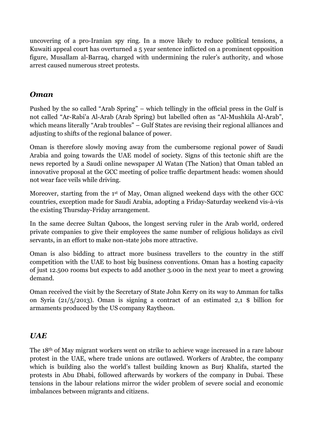uncovering of a pro-Iranian spy ring. In a move likely to reduce political tensions, a Kuwaiti appeal court has overturned a 5 year sentence inflicted on a prominent opposition figure, Musallam al-Barraq, charged with undermining the ruler's authority, and whose arrest caused numerous street protests.

#### *Oman*

Pushed by the so called "Arab Spring" – which tellingly in the official press in the Gulf is not called "Ar-Rabi'a Al-Arab (Arab Spring) but labelled often as "Al-Mushkila Al-Arab", which means literally "Arab troubles" – Gulf States are revising their regional alliances and adjusting to shifts of the regional balance of power.

Oman is therefore slowly moving away from the cumbersome regional power of Saudi Arabia and going towards the UAE model of society. Signs of this tectonic shift are the news reported by a Saudi online newspaper Al Watan (The Nation) that Oman tabled an innovative proposal at the GCC meeting of police traffic department heads: women should not wear face veils while driving.

Moreover, starting from the 1<sup>st</sup> of May, Oman aligned weekend days with the other GCC countries, exception made for Saudi Arabia, adopting a Friday-Saturday weekend vis-à-vis the existing Thursday-Friday arrangement.

In the same decree Sultan Qaboos, the longest serving ruler in the Arab world, ordered private companies to give their employees the same number of religious holidays as civil servants, in an effort to make non-state jobs more attractive.

Oman is also bidding to attract more business travellers to the country in the stiff competition with the UAE to host big business conventions. Oman has a hosting capacity of just 12.500 rooms but expects to add another 3.000 in the next year to meet a growing demand.

Oman received the visit by the Secretary of State John Kerry on its way to Amman for talks on Syria (21/5/2013). Oman is signing a contract of an estimated 2,1 \$ billion for armaments produced by the US company Raytheon.

#### *UAE*

The 18th of May migrant workers went on strike to achieve wage increased in a rare labour protest in the UAE, where trade unions are outlawed. Workers of Arabtec, the company which is building also the world's tallest building known as Burj Khalifa, started the protests in Abu Dhabi, followed afterwards by workers of the company in Dubai. These tensions in the labour relations mirror the wider problem of severe social and economic imbalances between migrants and citizens.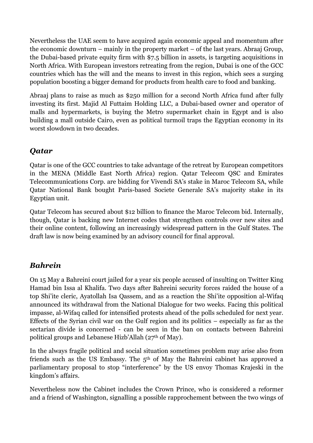Nevertheless the UAE seem to have acquired again economic appeal and momentum after the economic downturn – mainly in the property market – of the last years. Abraaj Group, the Dubai-based private equity firm with \$7.5 billion in assets, is targeting acquisitions in North Africa. With European investors retreating from the region, Dubai is one of the GCC countries which has the will and the means to invest in this region, which sees a surging population boosting a bigger demand for products from health care to food and banking.

Abraaj plans to raise as much as \$250 million for a second North Africa fund after fully investing its first. Majid Al Futtaim Holding LLC, a Dubai-based owner and operator of malls and hypermarkets, is buying the Metro supermarket chain in Egypt and is also building a mall outside Cairo, even as political turmoil traps the Egyptian economy in its worst slowdown in two decades.

#### *Qatar*

Qatar is one of the GCC countries to take advantage of the retreat by European competitors in the MENA (Middle East North Africa) region. Qatar Telecom QSC and Emirates Telecommunications Corp. are bidding for Vivendi SA's stake in Maroc Telecom SA, while Qatar National Bank bought Paris-based Societe Generale SA's majority stake in its Egyptian unit.

Qatar Telecom has secured about \$12 billion to finance the Maroc Telecom bid. Internally, though, Qatar is backing new Internet codes that strengthen controls over new sites and their online content, following an increasingly widespread pattern in the Gulf States. The draft law is now being examined by an advisory council for final approval.

#### *Bahrein*

On 15 May a Bahreini court jailed for a year six people accused of insulting on Twitter King Hamad bin Issa al Khalifa. Two days after Bahreini security forces raided the house of a top Shi'ite cleric, Ayatollah Isa Qassem, and as a reaction the Shi'ite opposition al-Wifaq announced its withdrawal from the National Dialogue for two weeks. Facing this political impasse, al-Wifaq called for intensified protests ahead of the polls scheduled for next year. Effects of the Syrian civil war on the Gulf region and its politics – especially as far as the sectarian divide is concerned - can be seen in the ban on contacts between Bahreini political groups and Lebanese Hizb'Allah (27th of May).

In the always fragile political and social situation sometimes problem may arise also from friends such as the US Embassy. The 5th of May the Bahreini cabinet has approved a parliamentary proposal to stop "interference" by the US envoy Thomas Krajeski in the kingdom's affairs.

Nevertheless now the Cabinet includes the Crown Prince, who is considered a reformer and a friend of Washington, signalling a possible rapprochement between the two wings of